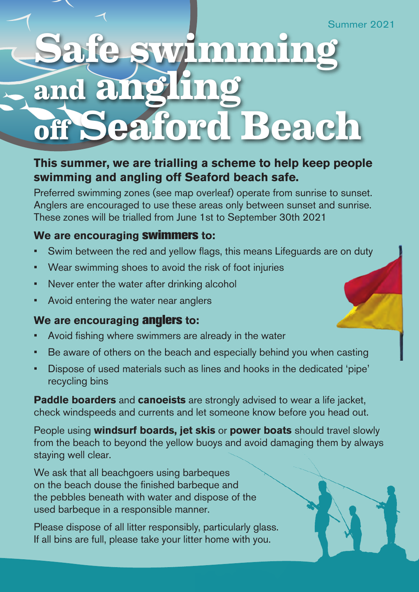## **Safe swimming and angling off Seaford Beach**

## **This summer, we are trialling a scheme to help keep people swimming and angling off Seaford beach safe.**

Preferred swimming zones (see map overleaf) operate from sunrise to sunset. Anglers are encouraged to use these areas only between sunset and sunrise. These zones will be trialled from June 1st to September 30th 2021

## **We are encouraging swimmers to:**

- Swim between the red and vellow flags, this means Lifeguards are on duty
- Wear swimming shoes to avoid the risk of foot injuries
- Never enter the water after drinking alcohol
- Avoid entering the water near anglers

## **We are encouraging anglers to:**

- Avoid fishing where swimmers are already in the water
- Be aware of others on the beach and especially behind you when casting
- Dispose of used materials such as lines and hooks in the dedicated 'pipe' recycling bins

**Paddle boarders** and **canoeists** are strongly advised to wear a life jacket, check windspeeds and currents and let someone know before you head out.

People using **windsurf boards, jet skis** or **power boats** should travel slowly from the beach to beyond the yellow buoys and avoid damaging them by always staying well clear.

We ask that all beachgoers using barbeques on the beach douse the finished barbeque and the pebbles beneath with water and dispose of the used barbeque in a responsible manner.

Please dispose of all litter responsibly, particularly glass. If all bins are full, please take your litter home with you.